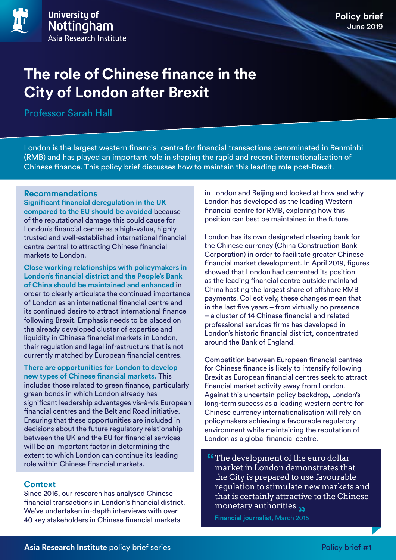# **Policy brief** June 2019

# **The role of Chinese finance in the City of London after Brexit**

Professor Sarah Hall

London is the largest western financial centre for financial transactions denominated in Renminbi (RMB) and has played an important role in shaping the rapid and recent internationalisation of Chinese finance. This policy brief discusses how to maintain this leading role post-Brexit.

### **Recommendations**

**Significant financial deregulation in the UK compared to the EU should be avoided** because of the reputational damage this could cause for London's financial centre as a high-value, highly trusted and well-established international financial centre central to attracting Chinese financial markets to London.

**Close working relationships with policymakers in London's financial district and the People's Bank of China should be maintained and enhanced** in order to clearly articulate the continued importance of London as an international financial centre and its continued desire to attract international finance following Brexit. Emphasis needs to be placed on the already developed cluster of expertise and liquidity in Chinese financial markets in London, their regulation and legal infrastructure that is not currently matched by European financial centres.

**There are opportunities for London to develop new types of Chinese financial markets.** This includes those related to green finance, particularly green bonds in which London already has significant leadership advantages vis-à-vis European financial centres and the Belt and Road initiative. Ensuring that these opportunities are included in decisions about the future regulatory relationship between the UK and the EU for financial services will be an important factor in determining the extent to which London can continue its leading role within Chinese financial markets.

### **Context**

Since 2015, our research has analysed Chinese financial transactions in London's financial district. We've undertaken in-depth interviews with over 40 key stakeholders in Chinese financial markets

in London and Beijing and looked at how and why London has developed as the leading Western financial centre for RMB, exploring how this position can best be maintained in the future.

London has its own designated clearing bank for the Chinese currency (China Construction Bank Corporation) in order to facilitate greater Chinese financial market development. In April 2019, figures showed that London had cemented its position as the leading financial centre outside mainland China hosting the largest share of offshore RMB payments. Collectively, these changes mean that in the last five years – from virtually no presence – a cluster of 14 Chinese financial and related professional services firms has developed in London's historic financial district, concentrated around the Bank of England.

Competition between European financial centres for Chinese finance is likely to intensify following Brexit as European financial centres seek to attract financial market activity away from London. Against this uncertain policy backdrop, London's long-term success as a leading western centre for Chinese currency internationalisation will rely on policymakers achieving a favourable regulatory environment while maintaining the reputation of London as a global financial centre.

**Comment of the euro dollar** market in London demonstrates that the City is prepared to use favourable regulation to stimulate new markets and that is certainly attractive to the Chinese monetary authorities.

**Financial journalist**, March 2015